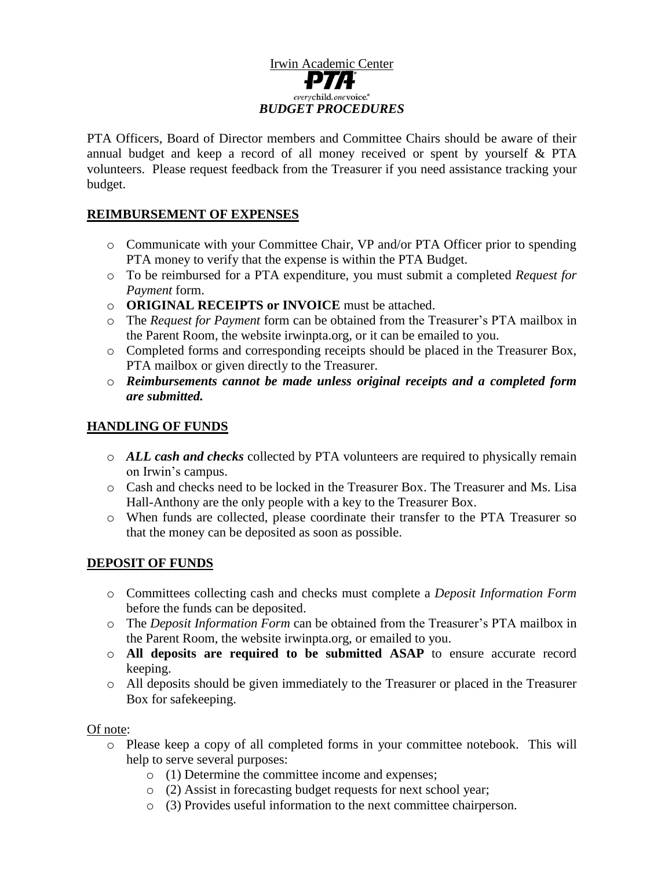# Irwin Academic Center everychild.onevoice.<sup>®</sup> *BUDGET PROCEDURES*

PTA Officers, Board of Director members and Committee Chairs should be aware of their annual budget and keep a record of all money received or spent by yourself & PTA volunteers. Please request feedback from the Treasurer if you need assistance tracking your budget.

## **REIMBURSEMENT OF EXPENSES**

- o Communicate with your Committee Chair, VP and/or PTA Officer prior to spending PTA money to verify that the expense is within the PTA Budget.
- o To be reimbursed for a PTA expenditure, you must submit a completed *Request for Payment* form.
- o **ORIGINAL RECEIPTS or INVOICE** must be attached.
- o The *Request for Payment* form can be obtained from the Treasurer's PTA mailbox in the Parent Room, the website irwinpta.org, or it can be emailed to you.
- o Completed forms and corresponding receipts should be placed in the Treasurer Box, PTA mailbox or given directly to the Treasurer.
- o *Reimbursements cannot be made unless original receipts and a completed form are submitted.*

# **HANDLING OF FUNDS**

- o *ALL cash and checks* collected by PTA volunteers are required to physically remain on Irwin's campus.
- o Cash and checks need to be locked in the Treasurer Box. The Treasurer and Ms. Lisa Hall-Anthony are the only people with a key to the Treasurer Box.
- o When funds are collected, please coordinate their transfer to the PTA Treasurer so that the money can be deposited as soon as possible.

### **DEPOSIT OF FUNDS**

- o Committees collecting cash and checks must complete a *Deposit Information Form* before the funds can be deposited.
- o The *Deposit Information Form* can be obtained from the Treasurer's PTA mailbox in the Parent Room, the website irwinpta.org, or emailed to you.
- o **All deposits are required to be submitted ASAP** to ensure accurate record keeping.
- o All deposits should be given immediately to the Treasurer or placed in the Treasurer Box for safekeeping.

### Of note:

- o Please keep a copy of all completed forms in your committee notebook. This will help to serve several purposes:
	- o (1) Determine the committee income and expenses;
	- o (2) Assist in forecasting budget requests for next school year;
	- o (3) Provides useful information to the next committee chairperson.